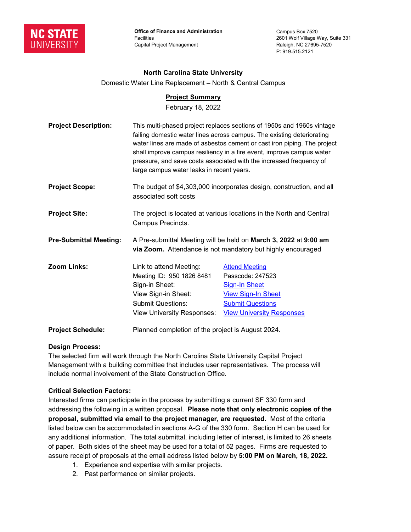

**Office of Finance and Administration** Facilities Capital Project Management

Campus Box 7520 2601 Wolf Village Way, Suite 331 Raleigh, NC 27695-7520 P: 919.515.2121

# **North Carolina State University**

Domestic Water Line Replacement – North & Central Campus

# **Project Summary**

February 18, 2022

| <b>Project Description:</b>   | This multi-phased project replaces sections of 1950s and 1960s vintage<br>failing domestic water lines across campus. The existing deteriorating<br>water lines are made of asbestos cement or cast iron piping. The project<br>shall improve campus resiliency in a fire event, improve campus water<br>pressure, and save costs associated with the increased frequency of<br>large campus water leaks in recent years. |                                                                                                                                                               |
|-------------------------------|---------------------------------------------------------------------------------------------------------------------------------------------------------------------------------------------------------------------------------------------------------------------------------------------------------------------------------------------------------------------------------------------------------------------------|---------------------------------------------------------------------------------------------------------------------------------------------------------------|
| <b>Project Scope:</b>         | The budget of \$4,303,000 incorporates design, construction, and all<br>associated soft costs                                                                                                                                                                                                                                                                                                                             |                                                                                                                                                               |
| <b>Project Site:</b>          | The project is located at various locations in the North and Central<br>Campus Precincts.                                                                                                                                                                                                                                                                                                                                 |                                                                                                                                                               |
| <b>Pre-Submittal Meeting:</b> | A Pre-submittal Meeting will be held on March 3, 2022 at 9:00 am<br>via Zoom. Attendance is not mandatory but highly encouraged                                                                                                                                                                                                                                                                                           |                                                                                                                                                               |
| Zoom Links:                   | Link to attend Meeting:<br>Meeting ID: 950 1826 8481<br>Sign-in Sheet:<br>View Sign-in Sheet:<br><b>Submit Questions:</b><br><b>View University Responses:</b>                                                                                                                                                                                                                                                            | <b>Attend Meeting</b><br>Passcode: 247523<br><b>Sign-In Sheet</b><br><b>View Sign-In Sheet</b><br><b>Submit Questions</b><br><b>View University Responses</b> |
| <b>Project Schedule:</b>      | Planned completion of the project is August 2024.                                                                                                                                                                                                                                                                                                                                                                         |                                                                                                                                                               |

## **Design Process:**

The selected firm will work through the North Carolina State University Capital Project Management with a building committee that includes user representatives. The process will include normal involvement of the State Construction Office.

# **Critical Selection Factors:**

Interested firms can participate in the process by submitting a current SF 330 form and addressing the following in a written proposal. **Please note that only electronic copies of the proposal, submitted via email to the project manager, are requested.** Most of the criteria listed below can be accommodated in sections A-G of the 330 form. Section H can be used for any additional information. The total submittal, including letter of interest, is limited to 26 sheets of paper. Both sides of the sheet may be used for a total of 52 pages. Firms are requested to assure receipt of proposals at the email address listed below by **5:00 PM on March, 18, 2022.**

- 1. Experience and expertise with similar projects.
- 2. Past performance on similar projects.